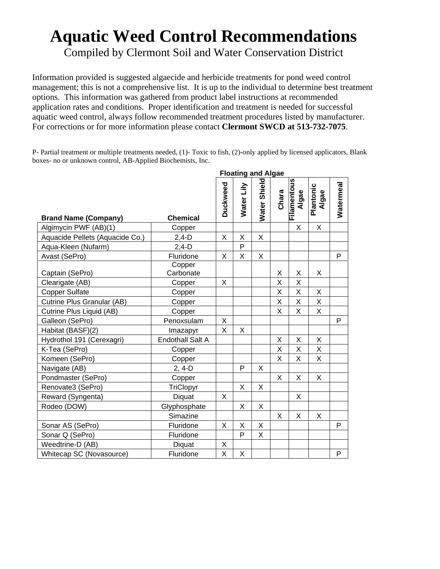## **Aquatic Weed Control Recommendations**

Compiled by Clermont Soil and Water Conservation District

Information provided is suggested algaecide and herbicide treatments for pond weed control management; this is not a comprehensive list. It is up to the individual to determine best treatment options. This information was gathered from product label instructions at recommended application rates and conditions. Proper identification and treatment is needed for successful aquatic weed control, always follow recommended treatment procedures listed by manufacturer. For corrections or for more information please contact **Clermont SWCD at 513-732-7075**.

P- Partial treatment or multiple treatments needed, (1)- Toxic to fish, (2)-only applied by licensed applicators, Blank boxes- no or unknown control, AB-Applied Biochemists, Inc.

|                                 |                         | n ivating ana Aigac |              |              |       |                      |                    |           |  |  |  |
|---------------------------------|-------------------------|---------------------|--------------|--------------|-------|----------------------|--------------------|-----------|--|--|--|
| <b>Brand Name (Company)</b>     | <b>Chemical</b>         | Duckweed            | Water Lily   | Water Shield | Chara | Filamentous<br>Algae | Plantonic<br>Algae | Watermeal |  |  |  |
| Algimycin PWF (AB)(1)           | Copper                  |                     |              |              |       | X                    | X                  |           |  |  |  |
| Aquacide Pellets (Aquacide Co.) | $2,4-D$                 | X                   | X            | X            |       |                      |                    |           |  |  |  |
| Aqua-Kleen (Nufarm)             | $2,4-D$                 |                     | P            |              |       |                      |                    |           |  |  |  |
| Avast (SePro)                   | Fluridone               | X                   | X            | X            |       |                      |                    | P         |  |  |  |
| Captain (SePro)                 | Copper<br>Carbonate     |                     |              |              | X     | Χ                    | X                  |           |  |  |  |
| Clearigate (AB)                 | Copper                  | X                   |              |              | Χ     | X                    |                    |           |  |  |  |
| <b>Copper Sulfate</b>           | Copper                  |                     |              |              | X     | X                    | X                  |           |  |  |  |
| Cutrine Plus Granular (AB)      | Copper                  |                     |              |              | X     | Χ                    | X                  |           |  |  |  |
| Cutrine Plus Liquid (AB)        | Copper                  |                     |              |              | X     | X                    | X                  |           |  |  |  |
| Galleon (SePro)                 | Penoxsulam              | X                   |              |              |       |                      |                    | P         |  |  |  |
| Habitat (BASF)(2)               | Imazapyr                | X                   | X            |              |       |                      |                    |           |  |  |  |
| Hydrothol 191 (Cerexagri)       | <b>Endothall Salt A</b> |                     |              |              | Χ     | Χ                    | X                  |           |  |  |  |
| K-Tea (SePro)                   | Copper                  |                     |              |              | X     | X.                   | X                  |           |  |  |  |
| Komeen (SePro)                  | Copper                  |                     |              |              | X     | Χ                    | X                  |           |  |  |  |
| Navigate (AB)                   | $2, 4-D$                |                     | P            | X            |       |                      |                    |           |  |  |  |
| Pondmaster (SePro)              | Copper                  |                     |              |              | X     | X                    | X                  |           |  |  |  |
| Renovate3 (SePro)               | TriClopyr               |                     | X            | X            |       |                      |                    |           |  |  |  |
| Reward (Syngenta)               | Diquat                  | X                   |              |              |       | X                    |                    |           |  |  |  |
| Rodeo (DOW)                     | Glyphosphate            |                     | X            | X            |       |                      |                    |           |  |  |  |
|                                 | Simazine                |                     |              |              | X     | X                    | X                  |           |  |  |  |
| Sonar AS (SePro)                | Fluridone               | X                   | X            | Χ            |       |                      |                    | P         |  |  |  |
| Sonar Q (SePro)                 | Fluridone               |                     | $\mathsf{P}$ | X            |       |                      |                    |           |  |  |  |
| Weedtrine-D (AB)                | Diquat                  | X                   |              |              |       |                      |                    |           |  |  |  |
| Whitecap SC (Novasource)        | Fluridone               | Χ                   | X            |              |       |                      |                    | P         |  |  |  |

**Floating and Algae**